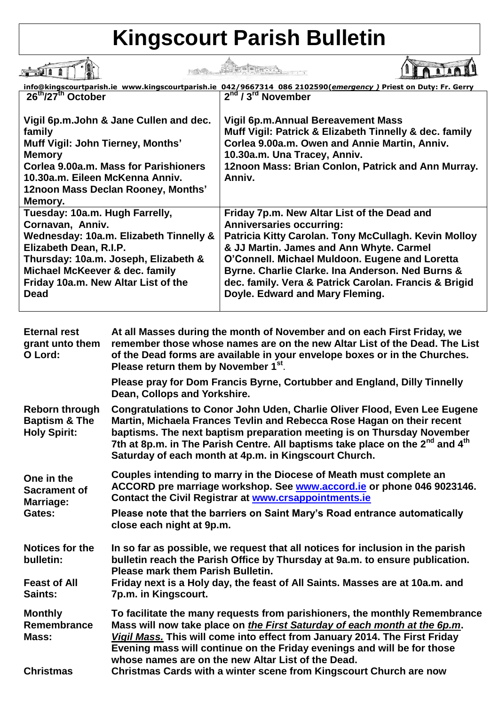## **Kingscourt Parish Bulletin**

|                                                                                                                                                                                                                                                        | info@kingscourtparish.ie www.kingscourtparish.ie 042/9667314 086 2102590(emergency) Priest on Duty: Fr. Gerry                                                                                                                                                                                                                                                                        |
|--------------------------------------------------------------------------------------------------------------------------------------------------------------------------------------------------------------------------------------------------------|--------------------------------------------------------------------------------------------------------------------------------------------------------------------------------------------------------------------------------------------------------------------------------------------------------------------------------------------------------------------------------------|
| 26 <sup>th</sup> /27 <sup>th</sup> October                                                                                                                                                                                                             | $\sqrt{2^{nd}/3^{rd}}$ November                                                                                                                                                                                                                                                                                                                                                      |
| Vigil 6p.m. John & Jane Cullen and dec.<br>family<br>Muff Vigil: John Tierney, Months'<br><b>Memory</b><br>Corlea 9.00a.m. Mass for Parishioners<br>10.30a.m. Eileen McKenna Anniv.<br>12noon Mass Declan Rooney, Months'<br>Memory.                   | Vigil 6p.m. Annual Bereavement Mass<br>Muff Vigil: Patrick & Elizabeth Tinnelly & dec. family<br>Corlea 9.00a.m. Owen and Annie Martin, Anniv.<br>10.30a.m. Una Tracey, Anniv.<br>12noon Mass: Brian Conlon, Patrick and Ann Murray.<br>Anniv.                                                                                                                                       |
| Tuesday: 10a.m. Hugh Farrelly,<br>Cornavan, Anniv.<br>Wednesday: 10a.m. Elizabeth Tinnelly &<br>Elizabeth Dean, R.I.P.<br>Thursday: 10a.m. Joseph, Elizabeth &<br>Michael McKeever & dec. family<br>Friday 10a.m. New Altar List of the<br><b>Dead</b> | Friday 7p.m. New Altar List of the Dead and<br><b>Anniversaries occurring:</b><br>Patricia Kitty Carolan. Tony McCullagh. Kevin Molloy<br>& JJ Martin. James and Ann Whyte. Carmel<br>O'Connell. Michael Muldoon. Eugene and Loretta<br>Byrne. Charlie Clarke. Ina Anderson. Ned Burns &<br>dec. family. Vera & Patrick Carolan. Francis & Brigid<br>Doyle. Edward and Mary Fleming. |

| <b>Eternal rest</b><br>grant unto them<br>O Lord:                        | At all Masses during the month of November and on each First Friday, we<br>remember those whose names are on the new Altar List of the Dead. The List<br>of the Dead forms are available in your envelope boxes or in the Churches.<br>Please return them by November 1 <sup>st</sup> .                                                                                                                |
|--------------------------------------------------------------------------|--------------------------------------------------------------------------------------------------------------------------------------------------------------------------------------------------------------------------------------------------------------------------------------------------------------------------------------------------------------------------------------------------------|
|                                                                          | Please pray for Dom Francis Byrne, Cortubber and England, Dilly Tinnelly<br>Dean, Collops and Yorkshire.                                                                                                                                                                                                                                                                                               |
| <b>Reborn through</b><br><b>Baptism &amp; The</b><br><b>Holy Spirit:</b> | <b>Congratulations to Conor John Uden, Charlie Oliver Flood, Even Lee Eugene</b><br>Martin, Michaela Frances Tevlin and Rebecca Rose Hagan on their recent<br>baptisms. The next baptism preparation meeting is on Thursday November<br>7th at 8p.m. in The Parish Centre. All baptisms take place on the 2 <sup>nd</sup> and 4 <sup>th</sup><br>Saturday of each month at 4p.m. in Kingscourt Church. |
| One in the<br><b>Sacrament of</b><br>Marriage:<br>Gates:                 | Couples intending to marry in the Diocese of Meath must complete an<br>ACCORD pre marriage workshop. See www.accord.ie or phone 046 9023146.<br><b>Contact the Civil Registrar at www.crsappointments.ie</b>                                                                                                                                                                                           |
|                                                                          | Please note that the barriers on Saint Mary's Road entrance automatically<br>close each night at 9p.m.                                                                                                                                                                                                                                                                                                 |
| Notices for the<br>bulletin:                                             | In so far as possible, we request that all notices for inclusion in the parish<br>bulletin reach the Parish Office by Thursday at 9a.m. to ensure publication.<br><b>Please mark them Parish Bulletin.</b>                                                                                                                                                                                             |
| <b>Feast of All</b><br>Saints:                                           | Friday next is a Holy day, the feast of All Saints. Masses are at 10a.m. and<br>7p.m. in Kingscourt.                                                                                                                                                                                                                                                                                                   |
| <b>Monthly</b><br>Remembrance<br>Mass:                                   | To facilitate the many requests from parishioners, the monthly Remembrance<br>Mass will now take place on the First Saturday of each month at the 6p.m.<br>Vigil Mass. This will come into effect from January 2014. The First Friday<br>Evening mass will continue on the Friday evenings and will be for those<br>whose names are on the new Altar List of the Dead.                                 |
| <b>Christmas</b>                                                         | Christmas Cards with a winter scene from Kingscourt Church are now                                                                                                                                                                                                                                                                                                                                     |